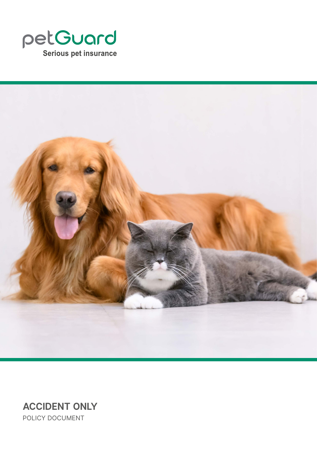



**ACCIDENT ONLY** POLICY DOCUMENT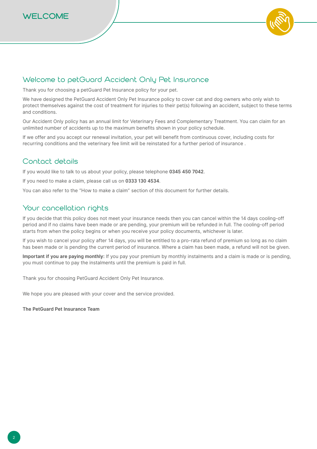



## Welcome to petGuard Accident Only Pet Insurance

Thank you for choosing a petGuard Pet Insurance policy for your pet.

We have designed the PetGuard Accident Only Pet Insurance policy to cover cat and dog owners who only wish to protect themselves against the cost of treatment for injuries to their pet(s) following an accident, subject to these terms and conditions.

Our Accident Only policy has an annual limit for Veterinary Fees and Complementary Treatment. You can claim for an unlimited number of accidents up to the maximum benefits shown in your policy schedule.

If we offer and you accept our renewal invitation, your pet will benefit from continuous cover, including costs for recurring conditions and the veterinary fee limit will be reinstated for a further period of insurance .

# Contact details

If you would like to talk to us about your policy, please telephone **0345 450 7042**.

If you need to make a claim, please call us on **0333 130 4534**.

You can also refer to the "How to make a claim" section of this document for further details.

## Your cancellation rights

If you decide that this policy does not meet your insurance needs then you can cancel within the 14 days cooling-off period and if no claims have been made or are pending, your premium will be refunded in full. The cooling-off period starts from when the policy begins or when you receive your policy documents, whichever is later.

If you wish to cancel your policy after 14 days, you will be entitled to a pro-rata refund of premium so long as no claim has been made or is pending the current period of insurance. Where a claim has been made, a refund will not be given.

**Important if you are paying monthly:** If you pay your premium by monthly instalments and a claim is made or is pending, you must continue to pay the instalments until the premium is paid in full.

Thank you for choosing PetGuard Accident Only Pet Insurance.

We hope you are pleased with your cover and the service provided.

**The PetGuard Pet Insurance Team**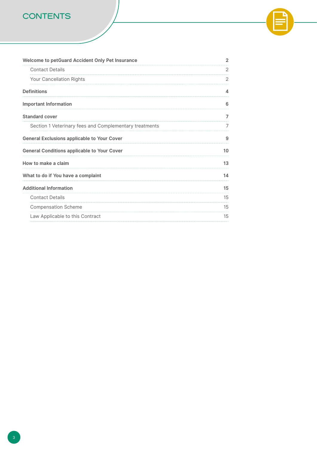# **CONTENTS**

| Welcome to petGuard Accident Only Pet Insurance        | 2  |  |
|--------------------------------------------------------|----|--|
| <b>Contact Details</b>                                 | 2  |  |
| Your Cancellation Rights                               | 2  |  |
| <b>Definitions</b>                                     | Δ  |  |
| <b>Important Information</b>                           | 6  |  |
| <b>Standard cover</b>                                  |    |  |
| Section 1 Veterinary fees and Complementary treatments |    |  |
| <b>General Exclusions applicable to Your Cover</b>     | 9  |  |
| <b>General Conditions applicable to Your Cover</b>     | 10 |  |
| How to make a claim                                    |    |  |
| What to do if You have a complaint                     |    |  |
| <b>Additional Information</b>                          | 15 |  |
| <b>Contact Details</b>                                 | 15 |  |
| <b>Compensation Scheme</b>                             | 15 |  |
| Law Applicable to this Contract                        | 15 |  |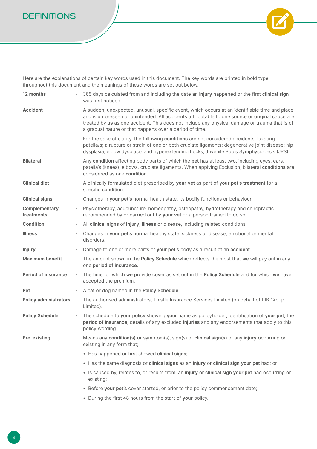## **DEFINITIONS**



Here are the explanations of certain key words used in this document. The key words are printed in bold type throughout this document and the meanings of these words are set out below.

| 12 months                   |                          | 365 days calculated from and including the date an injury happened or the first clinical sign<br>was first noticed.                                                                                                                                                                                                                                          |
|-----------------------------|--------------------------|--------------------------------------------------------------------------------------------------------------------------------------------------------------------------------------------------------------------------------------------------------------------------------------------------------------------------------------------------------------|
| <b>Accident</b>             | $\overline{\phantom{a}}$ | A sudden, unexpected, unusual, specific event, which occurs at an identifiable time and place<br>and is unforeseen or unintended. All accidents attributable to one source or original cause are<br>treated by us as one accident. This does not include any physical damage or trauma that is of<br>a gradual nature or that happens over a period of time. |
|                             |                          | For the sake of clarity, the following conditions are not considered accidents: luxating<br>patella/s; a rupture or strain of one or both cruciate ligaments; degenerative joint disease; hip<br>dysplasia; elbow dysplasia and hyperextending hocks; Juvenile Pubis Symphysiodesis (JPS).                                                                   |
| <b>Bilateral</b>            |                          | Any condition affecting body parts of which the pet has at least two, including eyes, ears,<br>patella's (knees), elbows, cruciate ligaments. When applying Exclusion, bilateral conditions are<br>considered as one condition.                                                                                                                              |
| <b>Clinical diet</b>        | $\overline{\phantom{a}}$ | A clinically formulated diet prescribed by your vet as part of your pet's treatment for a<br>specific condition.                                                                                                                                                                                                                                             |
| <b>Clinical signs</b>       | $\overline{\phantom{a}}$ | Changes in your pet's normal health state, its bodily functions or behaviour.                                                                                                                                                                                                                                                                                |
| Complementary<br>treatments | $\overline{\phantom{a}}$ | Physiotherapy, acupuncture, homeopathy, osteopathy, hydrotherapy and chiropractic<br>recommended by or carried out by your vet or a person trained to do so.                                                                                                                                                                                                 |
| <b>Condition</b>            | $\overline{\phantom{a}}$ | All clinical signs of injury, illness or disease, including related conditions.                                                                                                                                                                                                                                                                              |
| <b>Illness</b>              |                          | Changes in your pet's normal healthy state, sickness or disease, emotional or mental<br>disorders.                                                                                                                                                                                                                                                           |
| <b>Injury</b>               |                          | Damage to one or more parts of your pet's body as a result of an accident.                                                                                                                                                                                                                                                                                   |
| <b>Maximum benefit</b>      | $\overline{\phantom{a}}$ | The amount shown in the Policy Schedule which reflects the most that we will pay out in any<br>one period of insurance.                                                                                                                                                                                                                                      |
| <b>Period of insurance</b>  | $\overline{\phantom{a}}$ | The time for which we provide cover as set out in the Policy Schedule and for which we have<br>accepted the premium.                                                                                                                                                                                                                                         |
| Pet                         | $\overline{\phantom{a}}$ | A cat or dog named in the Policy Schedule.                                                                                                                                                                                                                                                                                                                   |
| Policy administrators -     |                          | The authorised administrators, Thistle Insurance Services Limited (on behalf of PIB Group<br>Limited).                                                                                                                                                                                                                                                       |
| <b>Policy Schedule</b>      | $\overline{\phantom{a}}$ | The schedule to your policy showing your name as policyholder, identification of your pet, the<br>period of insurance, details of any excluded injuries and any endorsements that apply to this<br>policy wording.                                                                                                                                           |
| <b>Pre-existing</b>         |                          | Means any condition(s) or symptom(s), sign(s) or clinical sign(s) of any injury occurring or<br>existing in any form that;                                                                                                                                                                                                                                   |
|                             |                          | • Has happened or first showed clinical signs;                                                                                                                                                                                                                                                                                                               |
|                             |                          | • Has the same diagnosis or clinical signs as an injury or clinical sign your pet had; or                                                                                                                                                                                                                                                                    |
|                             |                          | · Is caused by, relates to, or results from, an injury or clinical sign your pet had occurring or<br>existing;                                                                                                                                                                                                                                               |
|                             |                          | • Before your pet's cover started, or prior to the policy commencement date;                                                                                                                                                                                                                                                                                 |
|                             |                          |                                                                                                                                                                                                                                                                                                                                                              |

• During the first 48 hours from the start of **your** policy.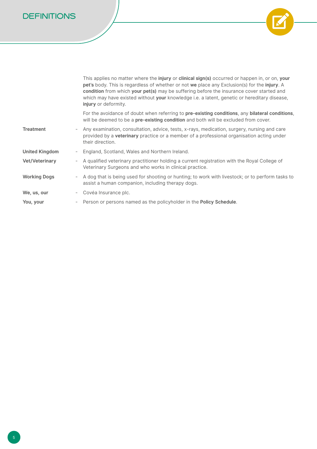**DEFINITIONS**



|                       | This applies no matter where the <b>injury</b> or <b>clinical sign(s)</b> occurred or happen in, or on, your<br>pet's body. This is regardless of whether or not we place any Exclusion(s) for the injury. A<br>condition from which your pet(s) may be suffering before the insurance cover started and<br>which may have existed without your knowledge i.e. a latent, genetic or hereditary disease,<br>injury or deformity. |
|-----------------------|---------------------------------------------------------------------------------------------------------------------------------------------------------------------------------------------------------------------------------------------------------------------------------------------------------------------------------------------------------------------------------------------------------------------------------|
|                       | For the avoidance of doubt when referring to pre-existing conditions, any bilateral conditions,<br>will be deemed to be a pre-existing condition and both will be excluded from cover.                                                                                                                                                                                                                                          |
| <b>Treatment</b>      | Any examination, consultation, advice, tests, x-rays, medication, surgery, nursing and care<br>provided by a <b>veterinary</b> practice or a member of a professional organisation acting under<br>their direction.                                                                                                                                                                                                             |
| <b>United Kingdom</b> | England, Scotland, Wales and Northern Ireland.                                                                                                                                                                                                                                                                                                                                                                                  |
| <b>Vet/Veterinary</b> | A qualified veterinary practitioner holding a current registration with the Royal College of<br>Veterinary Surgeons and who works in clinical practice.                                                                                                                                                                                                                                                                         |
| <b>Working Dogs</b>   | - A dog that is being used for shooting or hunting; to work with livestock; or to perform tasks to<br>assist a human companion, including therapy dogs.                                                                                                                                                                                                                                                                         |
| We, us, our           | Covéa Insurance plc.                                                                                                                                                                                                                                                                                                                                                                                                            |
| You, your             | Person or persons named as the policyholder in the <b>Policy Schedule</b> .                                                                                                                                                                                                                                                                                                                                                     |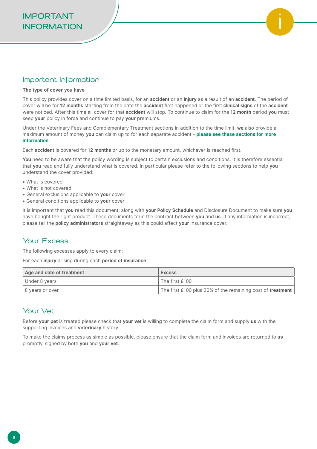#### Important Information

#### **The type of cover you have**

This policy provides cover on a time limited basis, for an **accident** or an **injury** as a result of an **accident**. The period of cover will be for **12 months** starting from the date the **accident** first happened or the first **clinical signs** of the **accident** were noticed. After this time all cover for that **accident** will stop. To continue to claim for the **12 month** period **you** must keep **your** policy in force and continue to pay **your** premiums.

Under the Veterinary Fees and Complementary Treatment sections in addition to the time limit, **we** also provide a maximum amount of money **you** can claim up to for each separate accident - **please see these sections for more information**.

Each **accident** is covered for **12 months** or up to the monetary amount, whichever is reached first.

You need to be aware that the policy wording is subject to certain exclusions and conditions. It is therefore essential that **you** read and fully understand what is covered. In particular please refer to the following sections to help **you** understand the cover provided:

- What is covered
- What is not covered
- General exclusions applicable to **your** cover
- General conditions applicable to **your** cover

It is important that **you** read this document, along with **your Policy Schedule** and Disclosure Document to make sure **you** have bought the right product. These documents form the contract between **you** and **us**. If any information is incorrect, please tell the **policy administrators** straightaway as this could affect **your** insurance cover.

# Your Excess

The following excesses apply to every claim:

For each **injury** arising during each **period of insurance**:

| Age and date of treatment | <b>Excess</b>                                              |
|---------------------------|------------------------------------------------------------|
| Under 8 years             | The first £100                                             |
| 8 years or over           | The first £100 plus 20% of the remaining cost of treatment |

# Your Vet

Before **your pet** is treated please check that **your vet** is willing to complete the claim form and supply **us** with the supporting invoices and **veterinary** history.

To make the claims process as simple as possible, please ensure that the claim form and invoices are returned to **us**  promptly, signed by both **you** and **your vet**.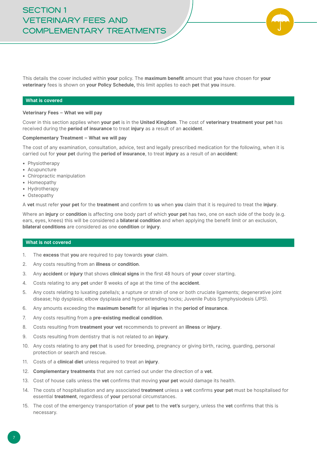This details the cover included within **your** policy. The **maximum benefit** amount that **you** have chosen for **your veterinary** fees is shown on **your Policy Schedule,** this limit applies to each **pet** that **you** insure.

#### **What is covered**

#### **Veterinary Fees – What we will pay**

Cover in this section applies when **your pet** is in the **United Kingdom**. The cost of **veterinary treatment your pet** has received during the **period of insurance** to treat **injury** as a result of an **accident**.

#### **Complementary Treatment – What we will pay**

The cost of any examination, consultation, advice, test and legally prescribed medication for the following, when it is carried out for **your pet** during the **period of insurance**, to treat **injury** as a result of an **accident**:

- Physiotherapy
- Acupuncture
- Chiropractic manipulation
- Homeopathy
- Hydrotherapy
- Osteopathy

A **vet** must refer **your pet** for the **treatment** and confirm to **us** when **you** claim that it is required to treat the **injury**.

Where an **injury** or **condition** is affecting one body part of which **your pet** has two, one on each side of the body (e.g. ears, eyes, knees) this will be considered a **bilateral condition** and when applying the benefit limit or an exclusion, **bilateral conditions** are considered as one **condition** or **injury**.

#### **What is not covered**

- 1. The **excess** that **you** are required to pay towards **your** claim.
- 2. Any costs resulting from an **illness** or **condition**.
- 3. Any **accident** or **injury** that shows **clinical signs** in the first 48 hours of **your** cover starting.
- 4. Costs relating to any **pet** under 8 weeks of age at the time of the **accident**.
- 5. Any costs relating to luxating patella/s; a rupture or strain of one or both cruciate ligaments; degenerative joint disease; hip dysplasia; elbow dysplasia and hyperextending hocks; Juvenile Pubis Symphysiodesis (JPS).
- 6. Any amounts exceeding the **maximum benefit** for all **injuries** in the **period of insurance**.
- 7. Any costs resulting from a **pre-existing medical condition**.
- 8. Costs resulting from **treatment your vet** recommends to prevent an **illness** or **injury**.
- 9. Costs resulting from dentistry that is not related to an **injury**.
- 10. Any costs relating to any **pet** that is used for breeding, pregnancy or giving birth, racing, guarding, personal protection or search and rescue.
- 11. Costs of a **clinical diet** unless required to treat an **injury**.
- 12. **Complementary treatments** that are not carried out under the direction of a **vet**.
- 13. Cost of house calls unless the **vet** confirms that moving **your pet** would damage its health.
- 14. The costs of hospitalisation and any associated **treatment** unless a **vet** confirms **your pet** must be hospitalised for essential **treatment**, regardless of **your** personal circumstances.
- 15. The cost of the emergency transportation of **your pet** to the **vet's** surgery, unless the **vet** confirms that this is necessary.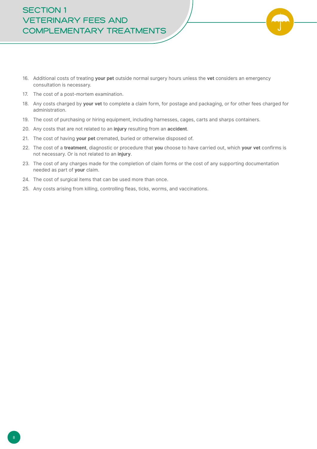# **SECTION 1 VETERINARY FEES AND COMPLEMENTARY TREATMENTS**

- 
- 16. Additional costs of treating **your pet** outside normal surgery hours unless the **vet** considers an emergency consultation is necessary.
- 17. The cost of a post-mortem examination.
- 18. Any costs charged by **your vet** to complete a claim form, for postage and packaging, or for other fees charged for administration.
- 19. The cost of purchasing or hiring equipment, including harnesses, cages, carts and sharps containers.
- 20. Any costs that are not related to an **injury** resulting from an **accident**.
- 21. The cost of having **your pet** cremated, buried or otherwise disposed of.
- 22. The cost of a **treatment**, diagnostic or procedure that **you** choose to have carried out, which **your vet** confirms is not necessary. Or is not related to an **injury**.
- 23. The cost of any charges made for the completion of claim forms or the cost of any supporting documentation needed as part of **your** claim.
- 24. The cost of surgical items that can be used more than once.
- 25. Any costs arising from killing, controlling fleas, ticks, worms, and vaccinations.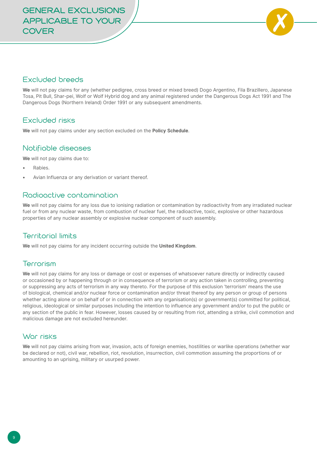

#### Excluded breeds

**We** will not pay claims for any (whether pedigree, cross breed or mixed breed) Dogo Argentino, Fila Brazillero, Japanese Tosa, Pit Bull, Shar-pei, Wolf or Wolf Hybrid dog and any animal registered under the Dangerous Dogs Act 1991 and The Dangerous Dogs (Northern Ireland) Order 1991 or any subsequent amendments.

#### Excluded risks

**We** will not pay claims under any section excluded on the **Policy Schedule**.

#### Notifiable diseases

**We** will not pay claims due to:

- Rabies.
- Avian Influenza or any derivation or variant thereof.

#### Radioactive contamination

**We** will not pay claims for any loss due to ionising radiation or contamination by radioactivity from any irradiated nuclear fuel or from any nuclear waste, from combustion of nuclear fuel, the radioactive, toxic, explosive or other hazardous properties of any nuclear assembly or explosive nuclear component of such assembly.

# Territorial limits

**We** will not pay claims for any incident occurring outside the **United Kingdom**.

#### Terrorism

**We** will not pay claims for any loss or damage or cost or expenses of whatsoever nature directly or indirectly caused or occasioned by or happening through or in consequence of terrorism or any action taken in controlling, preventing or suppressing any acts of terrorism in any way thereto. For the purpose of this exclusion 'terrorism' means the use of biological, chemical and/or nuclear force or contamination and/or threat thereof by any person or group of persons whether acting alone or on behalf of or in connection with any organisation(s) or government(s) committed for political, religious, ideological or similar purposes including the intention to influence any government and/or to put the public or any section of the public in fear. However, losses caused by or resulting from riot, attending a strike, civil commotion and malicious damage are not excluded hereunder.

#### War risks

**We** will not pay claims arising from war, invasion, acts of foreign enemies, hostilities or warlike operations (whether war be declared or not), civil war, rebellion, riot, revolution, insurrection, civil commotion assuming the proportions of or amounting to an uprising, military or usurped power.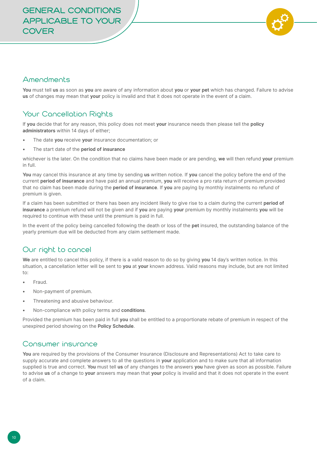

## Amendments

**You** must tell **us** as soon as **you** are aware of any information about **you** or **your pet** which has changed. Failure to advise **us** of changes may mean that **your** policy is invalid and that it does not operate in the event of a claim.

# Your Cancellation Rights

If **you** decide that for any reason, this policy does not meet **your** insurance needs then please tell the **policy administrators** within 14 days of either;

- The date **you** receive **your** insurance documentation; or
- The start date of the **period of insurance**

whichever is the later. On the condition that no claims have been made or are pending, **we** will then refund **your** premium in full.

**You** may cancel this insurance at any time by sending **us** written notice. If **you** cancel the policy before the end of the current **period of insurance** and have paid an annual premium, **you** will receive a pro rata return of premium provided that no claim has been made during the **period of insurance**. If **you** are paying by monthly instalments no refund of premium is given.

If a claim has been submitted or there has been any incident likely to give rise to a claim during the current **period of insurance** a premium refund will not be given and if **you** are paying **your** premium by monthly instalments **you** will be required to continue with these until the premium is paid in full.

In the event of the policy being cancelled following the death or loss of the **pet** insured, the outstanding balance of the yearly premium due will be deducted from any claim settlement made.

# Our right to cancel

**We** are entitled to cancel this policy, if there is a valid reason to do so by giving **you** 14 day's written notice. In this situation, a cancellation letter will be sent to **you** at **your** known address. Valid reasons may include, but are not limited to:

- Fraud.
- Non-payment of premium.
- Threatening and abusive behaviour.
- Non-compliance with policy terms and **conditions**.

Provided the premium has been paid in full **you** shall be entitled to a proportionate rebate of premium in respect of the unexpired period showing on the **Policy Schedule**.

#### Consumer insurance

**You** are required by the provisions of the Consumer Insurance (Disclosure and Representations) Act to take care to supply accurate and complete answers to all the questions in **your** application and to make sure that all information supplied is true and correct. **You** must tell **us** of any changes to the answers **you** have given as soon as possible. Failure to advise **us** of a change to **your** answers may mean that **your** policy is invalid and that it does not operate in the event of a claim.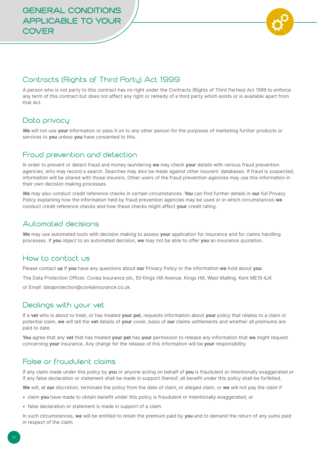

## Contracts (Rights of Third Party) Act 1999

A person who is not party to this contract has no right under the Contracts (Rights of Third Parties) Act 1999 to enforce any term of this contract but does not affect any right or remedy of a third party which exists or is available apart from that Act.

#### Data privacy

**We** will not use **your** information or pass it on to any other person for the purposes of marketing further products or services to **you** unless **you** have consented to this.

## Fraud prevention and detection

In order to prevent or detect fraud and money laundering **we** may check **your** details with various fraud prevention agencies, who may record a search. Searches may also be made against other insurers' databases. If fraud is suspected, information will be shared with those insurers. Other users of the fraud prevention agencies may use this information in their own decision making processes.

**We** may also conduct credit reference checks in certain circumstances. **You** can find further details in **our** full Privacy Policy explaining how the information held by fraud prevention agencies may be used or in which circumstances **we**  conduct credit reference checks and how these checks might affect **your** credit rating.

#### Automated decisions

**We** may use automated tools with decision making to assess **your** application for insurance and for claims handling processes. If **you** object to an automated decision, **we** may not be able to offer **you** an insurance quotation.

## How to contact us

Please contact **us** if **you** have any questions about **our** Privacy Policy or the information **we** hold about **you**:

The Data Protection Officer, Covéa Insurance plc, 50 Kings Hill Avenue, Kings Hill, West Malling, Kent ME19 4JX

or Email: dataprotection@covéainsurance.co.uk.

#### Dealings with your vet

If a **vet** who is about to treat, or has treated **your pet**, requests information about **your** policy that relates to a claim or potential claim, **we** will tell the **vet** details of **your** cover, basis of **our** claims settlements and whether all premiums are paid to date.

**You** agree that any **vet** that has treated **your pet** has **your** permission to release any information that **we** might request concerning **your** insurance. Any charge for the release of this information will be **your** responsibility.

#### False or fraudulent claims

If any claim made under this policy by **you** or anyone acting on behalf of **you** is fraudulent or intentionally exaggerated or if any false declaration or statement shall be made in support thereof, all benefit under this policy shall be forfeited.

**We** will, at **our** discretion, terminate the policy from the date of claim, or alleged claim, or **we** will not pay the claim if

- claim **you** have made to obtain benefit under this policy is fraudulent or intentionally exaggerated, or
- false declaration or statement is made in support of a claim.

In such circumstances, **we** will be entitled to retain the premium paid by **you** and to demand the return of any sums paid in respect of the claim.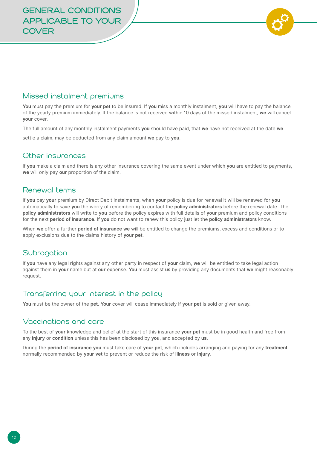

#### Missed instalment premiums

**You** must pay the premium for **your pet** to be insured. If **you** miss a monthly instalment, **you** will have to pay the balance of the yearly premium immediately. If the balance is not received within 10 days of the missed instalment, **we** will cancel **your** cover.

The full amount of any monthly instalment payments **you** should have paid, that **we** have not received at the date **we**

settle a claim, may be deducted from any claim amount **we** pay to **you**.

#### Other insurances

If **you** make a claim and there is any other insurance covering the same event under which **you** are entitled to payments, **we** will only pay **our** proportion of the claim.

#### Renewal terms

If **you** pay **your** premium by Direct Debit instalments, when **your** policy is due for renewal it will be renewed for **you** automatically to save **you** the worry of remembering to contact the **policy administrators** before the renewal date. The **policy administrators** will write to you before the policy expires with full details of your premium and policy conditions for the next **period of insurance**. If **you** do not want to renew this policy just let the **policy administrators** know.

When **we** offer a further **period of insurance we** will be entitled to change the premiums, excess and conditions or to apply exclusions due to the claims history of **your pet**.

#### **Subrogation**

If **you** have any legal rights against any other party in respect of **your** claim, **we** will be entitled to take legal action against them in **your** name but at **our** expense. **You** must assist **us** by providing any documents that **we** might reasonably request.

#### Transferring your interest in the policy

**You** must be the owner of the **pet. Your** cover will cease immediately if **your pet** is sold or given away.

#### Vaccinations and care

To the best of **your** knowledge and belief at the start of this insurance **your pet** must be in good health and free from any **injury** or **condition** unless this has been disclosed by **you**, and accepted by **us**.

During the **period of insurance you** must take care of **your pet**, which includes arranging and paying for any **treatment**  normally recommended by **your vet** to prevent or reduce the risk of **illness** or **injury**.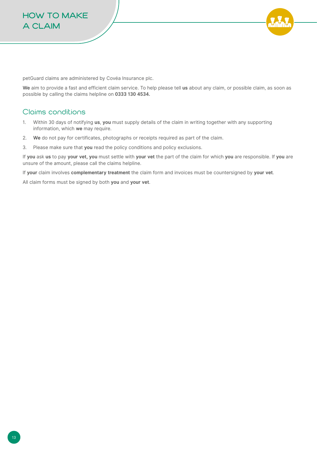

petGuard claims are administered by Covéa Insurance plc.

**We** aim to provide a fast and efficient claim service. To help please tell **us** about any claim, or possible claim, as soon as possible by calling the claims helpline on **0333 130 4534.**

#### Claims conditions

- 1. Within 30 days of notifying **us**, **you** must supply details of the claim in writing together with any supporting information, which **we** may require.
- 2. **We** do not pay for certificates, photographs or receipts required as part of the claim.
- 3. Please make sure that **you** read the policy conditions and policy exclusions.

If **you** ask **us** to pay **your vet, you** must settle with **your vet** the part of the claim for which **you** are responsible. If **you** are unsure of the amount, please call the claims helpline.

If **your** claim involves **complementary treatment** the claim form and invoices must be countersigned by **your vet**.

All claim forms must be signed by both **you** and **your vet**.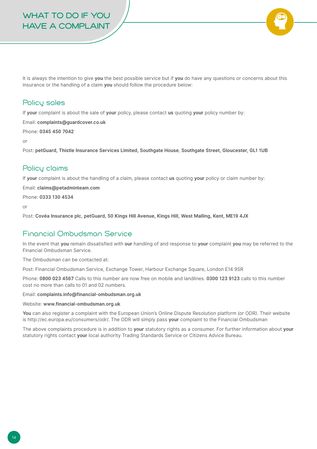# **WHAT TO DO IF YOU HAVE A COMPLAINT**

It is always the intention to give **you** the best possible service but if **you** do have any questions or concerns about this insurance or the handling of a claim **you** should follow the procedure below:

#### Policy sales

If **your** complaint is about the sale of **your** policy, please contact **us** quoting **your** policy number by:

Email: **complaints@guardcover.co.uk**

Phone: **0345 450 7042**

or

Post: **petGuard, Thistle Insurance Services Limited, Southgate House**, **Southgate Street, Gloucester, GL1 1UB**

## Policy claims

If **your** complaint is about the handling of a claim, please contact **us** quoting **your** policy or claim number by:

Email: **claims@petadminteam.com** 

Phone: **0333 130 4534**

or

Post: **Covéa Insurance plc, petGuard, 50 Kings Hill Avenue, Kings Hill, West Malling, Kent, ME19 4JX** 

## Financial Ombudsman Service

In the event that **you** remain dissatisfied with **our** handling of and response to **your** complaint **you** may be referred to the Financial Ombudsman Service.

The Ombudsman can be contacted at:

Post: Financial Ombudsman Service, Exchange Tower, Harbour Exchange Square, London E14 9SR

Phone: **0800 023 4567** Calls to this number are now free on mobile and landlines. **0300 123 9123** calls to this number cost no more than calls to 01 and 02 numbers.

Email: **complaints.info@financial-ombudsman.org.uk** 

Website: **www.financial-ombudsman.org.uk** 

**You** can also register a complaint with the European Union's Online Dispute Resolution platform (or ODR). Their website is http://ec.europa.eu/consumers/odr/. The ODR will simply pass **your** complaint to the Financial Ombudsman

The above complaints procedure is in addition to **your** statutory rights as a consumer. For further information about **your**  statutory rights contact **your** local authority Trading Standards Service or Citizens Advice Bureau.